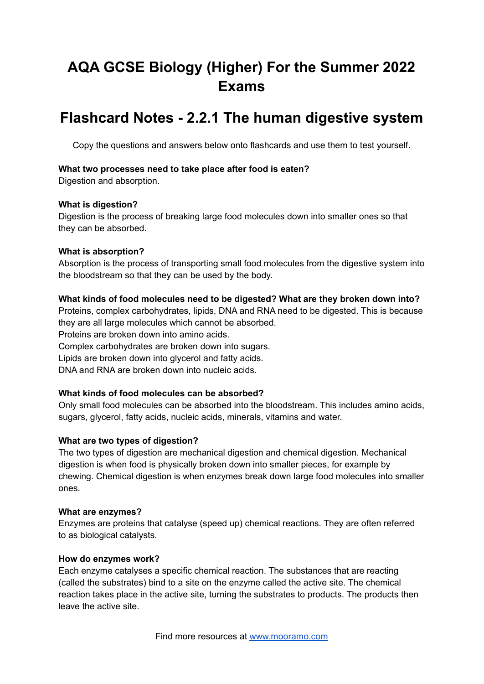# **AQA GCSE Biology (Higher) For the Summer 2022 Exams**

## **Flashcard Notes - 2.2.1 The human digestive system**

Copy the questions and answers below onto flashcards and use them to test yourself.

#### **What two processes need to take place after food is eaten?**

Digestion and absorption.

#### **What is digestion?**

Digestion is the process of breaking large food molecules down into smaller ones so that they can be absorbed.

#### **What is absorption?**

Absorption is the process of transporting small food molecules from the digestive system into the bloodstream so that they can be used by the body.

#### **What kinds of food molecules need to be digested? What are they broken down into?**

Proteins, complex carbohydrates, lipids, DNA and RNA need to be digested. This is because they are all large molecules which cannot be absorbed. Proteins are broken down into amino acids. Complex carbohydrates are broken down into sugars. Lipids are broken down into glycerol and fatty acids.

DNA and RNA are broken down into nucleic acids.

## **What kinds of food molecules can be absorbed?**

Only small food molecules can be absorbed into the bloodstream. This includes amino acids, sugars, glycerol, fatty acids, nucleic acids, minerals, vitamins and water.

## **What are two types of digestion?**

The two types of digestion are mechanical digestion and chemical digestion. Mechanical digestion is when food is physically broken down into smaller pieces, for example by chewing. Chemical digestion is when enzymes break down large food molecules into smaller ones.

#### **What are enzymes?**

Enzymes are proteins that catalyse (speed up) chemical reactions. They are often referred to as biological catalysts.

#### **How do enzymes work?**

Each enzyme catalyses a specific chemical reaction. The substances that are reacting (called the substrates) bind to a site on the enzyme called the active site. The chemical reaction takes place in the active site, turning the substrates to products. The products then leave the active site.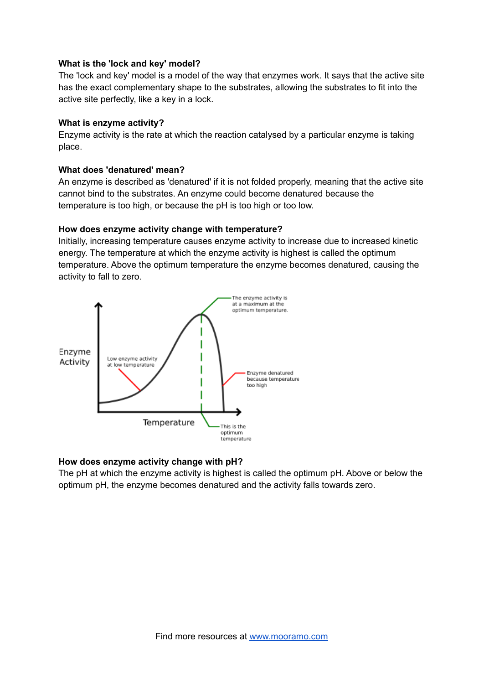#### **What is the 'lock and key' model?**

The 'lock and key' model is a model of the way that enzymes work. It says that the active site has the exact complementary shape to the substrates, allowing the substrates to fit into the active site perfectly, like a key in a lock.

#### **What is enzyme activity?**

Enzyme activity is the rate at which the reaction catalysed by a particular enzyme is taking place.

#### **What does 'denatured' mean?**

An enzyme is described as 'denatured' if it is not folded properly, meaning that the active site cannot bind to the substrates. An enzyme could become denatured because the temperature is too high, or because the pH is too high or too low.

#### **How does enzyme activity change with temperature?**

Initially, increasing temperature causes enzyme activity to increase due to increased kinetic energy. The temperature at which the enzyme activity is highest is called the optimum temperature. Above the optimum temperature the enzyme becomes denatured, causing the activity to fall to zero.



## **How does enzyme activity change with pH?**

The pH at which the enzyme activity is highest is called the optimum pH. Above or below the optimum pH, the enzyme becomes denatured and the activity falls towards zero.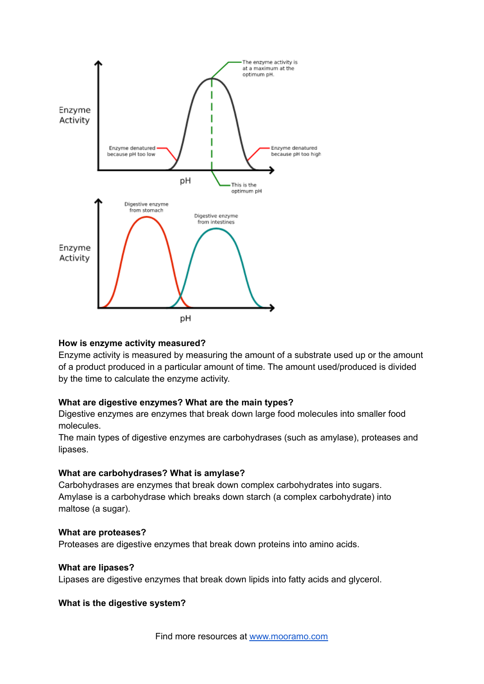

#### **How is enzyme activity measured?**

Enzyme activity is measured by measuring the amount of a substrate used up or the amount of a product produced in a particular amount of time. The amount used/produced is divided by the time to calculate the enzyme activity.

#### **What are digestive enzymes? What are the main types?**

Digestive enzymes are enzymes that break down large food molecules into smaller food molecules.

The main types of digestive enzymes are carbohydrases (such as amylase), proteases and lipases.

#### **What are carbohydrases? What is amylase?**

Carbohydrases are enzymes that break down complex carbohydrates into sugars. Amylase is a carbohydrase which breaks down starch (a complex carbohydrate) into maltose (a sugar).

#### **What are proteases?**

Proteases are digestive enzymes that break down proteins into amino acids.

#### **What are lipases?**

Lipases are digestive enzymes that break down lipids into fatty acids and glycerol.

#### **What is the digestive system?**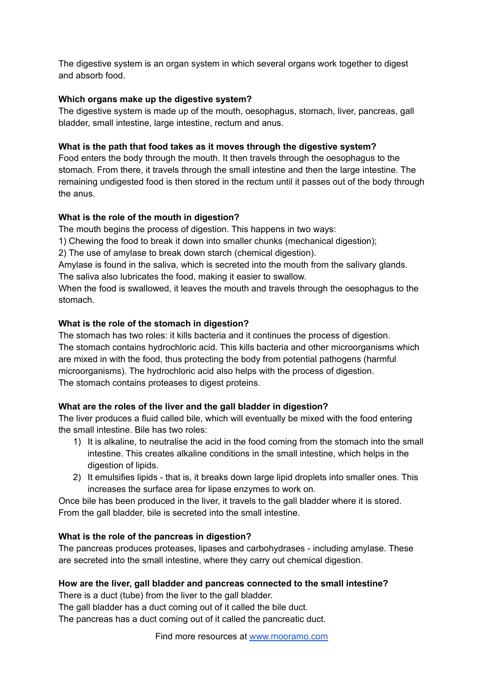The digestive system is an organ system in which several organs work together to digest and absorb food.

### **Which organs make up the digestive system?**

The digestive system is made up of the mouth, oesophagus, stomach, liver, pancreas, gall bladder, small intestine, large intestine, rectum and anus.

#### **What is the path that food takes as it moves through the digestive system?**

Food enters the body through the mouth. It then travels through the oesophagus to the stomach. From there, it travels through the small intestine and then the large intestine. The remaining undigested food is then stored in the rectum until it passes out of the body through the anus.

## **What is the role of the mouth in digestion?**

The mouth begins the process of digestion. This happens in two ways:

1) Chewing the food to break it down into smaller chunks (mechanical digestion);

2) The use of amylase to break down starch (chemical digestion).

Amylase is found in the saliva, which is secreted into the mouth from the salivary glands. The saliva also lubricates the food, making it easier to swallow.

When the food is swallowed, it leaves the mouth and travels through the oesophagus to the stomach.

#### **What is the role of the stomach in digestion?**

The stomach has two roles: it kills bacteria and it continues the process of digestion. The stomach contains hydrochloric acid. This kills bacteria and other microorganisms which are mixed in with the food, thus protecting the body from potential pathogens (harmful microorganisms). The hydrochloric acid also helps with the process of digestion. The stomach contains proteases to digest proteins.

## **What are the roles of the liver and the gall bladder in digestion?**

The liver produces a fluid called bile, which will eventually be mixed with the food entering the small intestine. Bile has two roles:

- 1) It is alkaline, to neutralise the acid in the food coming from the stomach into the small intestine. This creates alkaline conditions in the small intestine, which helps in the digestion of lipids.
- 2) It emulsifies lipids that is, it breaks down large lipid droplets into smaller ones. This increases the surface area for lipase enzymes to work on.

Once bile has been produced in the liver, it travels to the gall bladder where it is stored. From the gall bladder, bile is secreted into the small intestine.

#### **What is the role of the pancreas in digestion?**

The pancreas produces proteases, lipases and carbohydrases - including amylase. These are secreted into the small intestine, where they carry out chemical digestion.

## **How are the liver, gall bladder and pancreas connected to the small intestine?**

There is a duct (tube) from the liver to the gall bladder.

The gall bladder has a duct coming out of it called the bile duct.

The pancreas has a duct coming out of it called the pancreatic duct.